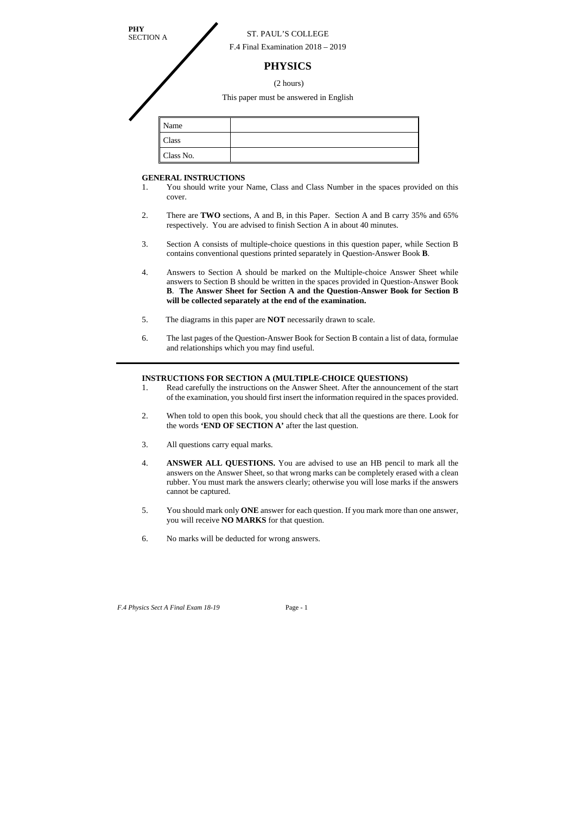## **GENERAL INSTRUCTIONS**

- 1. You should write your Name, Class and Class Number in the spaces provided on this cover.
- 2. There are **TWO** sections, A and B, in this Paper. Section A and B carry 35% and 65% respectively. You are advised to finish Section A in about 40 minutes.
- 3. Section A consists of multiple-choice questions in this question paper, while Section B contains conventional questions printed separately in Question-Answer Book **B**.
- 4. Answers to Section A should be marked on the Multiple-choice Answer Sheet while answers to Section B should be written in the spaces provided in Question-Answer Book **B**. **The Answer Sheet for Section A and the Question-Answer Book for Section B will be collected separately at the end of the examination.**
- 5. The diagrams in this paper are **NOT** necessarily drawn to scale.
- 6. The last pages of the Question-Answer Book for Section B contain a list of data, formulae and relationships which you may find useful.

| <b>PHY</b> | <b>ST. PAUL'S COLLEGE</b><br><b>SECTION A</b><br>F.4 Final Examination $2018 - 2019$ |                                        |  |  |
|------------|--------------------------------------------------------------------------------------|----------------------------------------|--|--|
|            |                                                                                      | <b>PHYSICS</b>                         |  |  |
| (2 hours)  |                                                                                      |                                        |  |  |
|            |                                                                                      | This paper must be answered in English |  |  |
|            |                                                                                      |                                        |  |  |
|            | Name                                                                                 |                                        |  |  |
|            | Class                                                                                |                                        |  |  |
|            | Class No.                                                                            |                                        |  |  |

## **INSTRUCTIONS FOR SECTION A (MULTIPLE-CHOICE QUESTIONS)**

- 1. Read carefully the instructions on the Answer Sheet. After the announcement of the start of the examination, you should first insert the information required in the spaces provided.
- 2. When told to open this book, you should check that all the questions are there. Look for the words **'END OF SECTION A'** after the last question.
- 3. All questions carry equal marks.
- 4. **ANSWER ALL QUESTIONS.** You are advised to use an HB pencil to mark all the answers on the Answer Sheet, so that wrong marks can be completely erased with a clean rubber. You must mark the answers clearly; otherwise you will lose marks if the answers cannot be captured.
- 5. You should mark only **ONE** answer for each question. If you mark more than one answer, you will receive **NO MARKS** for that question.
- 6. No marks will be deducted for wrong answers.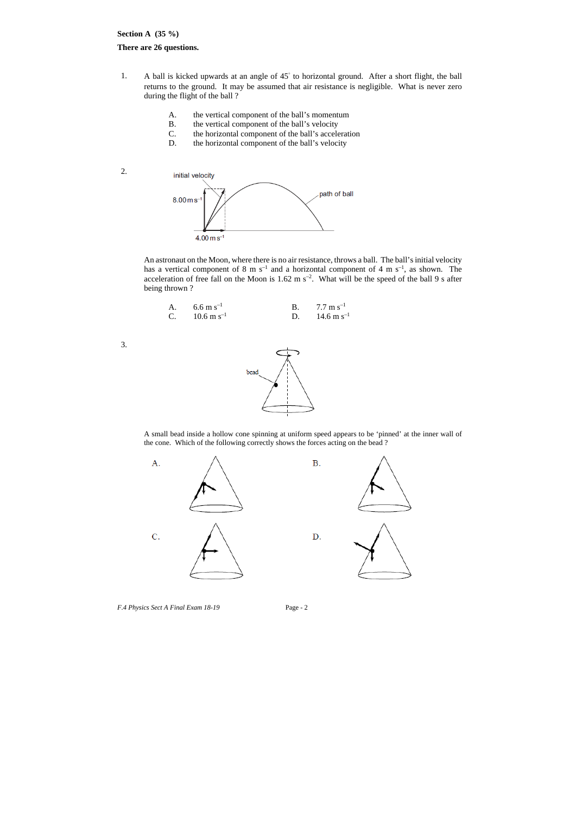## **Section A (35 %)**

## **There are 26 questions.**

- 1. A ball is kicked upwards at an angle of 45° to horizontal ground. After a short flight, the ball returns to the ground. It may be assumed that air resistance is negligible. What is never zero during the flight of the ball ?
	- A. the vertical component of the ball's momentum
	- B. the vertical component of the ball's velocity
	- C. the horizontal component of the ball's acceleration
	- D. the horizontal component of the ball's velocity

initial velocity path of ball  $8.00 \,\mathrm{m\,s}^{-}$  $4.00 \,\mathrm{m\,s^{-1}}$ 

2.



An astronaut on the Moon, where there is no air resistance, throws a ball. The ball's initial velocity has a vertical component of  $8 \text{ m s}^{-1}$  and a horizontal component of  $4 \text{ m s}^{-1}$ , as shown. The acceleration of free fall on the Moon is 1.62 m  $s^{-2}$ . What will be the speed of the ball 9 s after being thrown ?

A. 
$$
6.6 \text{ m s}^{-1}
$$
  
\nB.  $7.7 \text{ m s}^{-1}$   
\nC.  $10.6 \text{ m s}^{-1}$   
\nD.  $14.6 \text{ m s}^{-1}$ 

3.

A small bead inside a hollow cone spinning at uniform speed appears to be 'pinned' at the inner wall of the cone. Which of the following correctly shows the forces acting on the bead ?

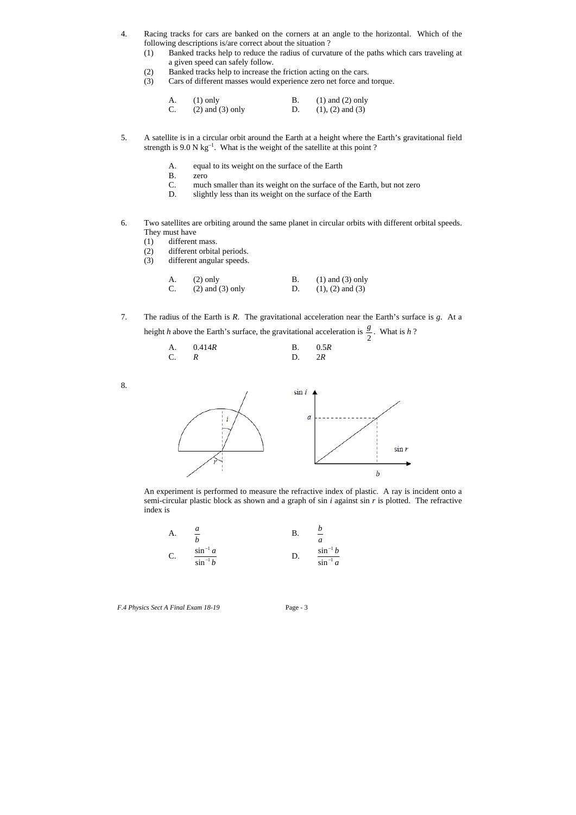- 4. Racing tracks for cars are banked on the corners at an angle to the horizontal. Which of the following descriptions is/are correct about the situation ?
	- (1) Banked tracks help to reduce the radius of curvature of the paths which cars traveling at a given speed can safely follow.
	- (2) Banked tracks help to increase the friction acting on the cars.
	- (3) Cars of different masses would experience zero net force and torque.

| $A.$ (1) only           | $(1)$ and $(2)$ only |
|-------------------------|----------------------|
| C. $(2)$ and $(3)$ only | $(1), (2)$ and $(3)$ |

7. The radius of the Earth is *R*. The gravitational acceleration near the Earth's surface is *g*. At a height *h* above the Earth's surface, the gravitational acceleration is  $\frac{g}{2}$ . What is *h* ?

- 5. A satellite is in a circular orbit around the Earth at a height where the Earth's gravitational field strength is  $9.0 \text{ N kg}^{-1}$ . What is the weight of the satellite at this point ?
	- A. equal to its weight on the surface of the Earth
	- B. zero
	- C. much smaller than its weight on the surface of the Earth, but not zero
	- D. slightly less than its weight on the surface of the Earth
- 6. Two satellites are orbiting around the same planet in circular orbits with different orbital speeds. They must have
	- (1) different mass.
	- (2) different orbital periods.
	- (3) different angular speeds.

| $(2)$ only           | $(1)$ and $(3)$ only |
|----------------------|----------------------|
| $(2)$ and $(3)$ only | $(1), (2)$ and $(3)$ |

|       | A. $0.414R$ |           | B. $0.5R$ |
|-------|-------------|-----------|-----------|
| $C$ R |             | $D \t 2R$ |           |

8.



An experiment is performed to measure the refractive index of plastic. A ray is incident onto a semi-circular plastic block as shown and a graph of sin *i* against sin *r* is plotted. The refractive index is

A. 
$$
\frac{a}{b}
$$
  
\nC.  $\frac{\sin^{-1} a}{\sin^{-1} b}$   
\nD.  $\frac{\sin^{-1} a}{\sin^{-1} b}$ 

*a b*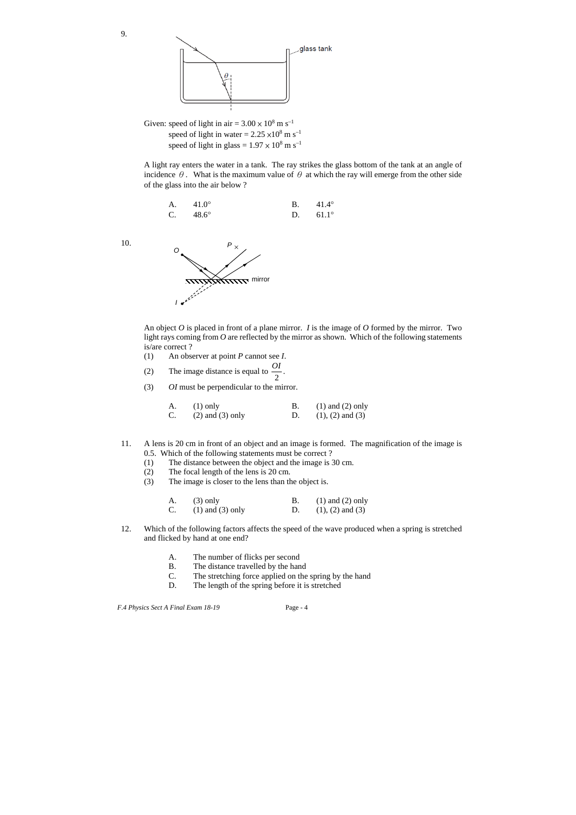

Given: speed of light in air =  $3.00 \times 10^8$  m s<sup>-1</sup> speed of light in water =  $2.25 \times 10^8$  m s<sup>-1</sup> speed of light in glass =  $1.97 \times 10^8$  m s<sup>-1</sup>

9.

A light ray enters the water in a tank. The ray strikes the glass bottom of the tank at an angle of incidence  $\theta$ . What is the maximum value of  $\theta$  at which the ray will emerge from the other side of the glass into the air below ?

A. 
$$
41.0^{\circ}
$$
 B.  $41.4^{\circ}$   
C.  $48.6^{\circ}$  D.  $61.1^{\circ}$ 

10.

An object *O* is placed in front of a plane mirror. *I* is the image of *O* formed by the mirror. Two light rays coming from *O* are reflected by the mirror as shown. Which of the following statements is/are correct ?

- (1) An observer at point *P* cannot see *I*.
- (2) The image distance is equal to  $\frac{64}{2}$  $\frac{OI}{\cdot}$ .
- (3) *OI* must be perpendicular to the mirror.

| $(1)$ only           | $(1)$ and $(2)$ only |
|----------------------|----------------------|
| $(2)$ and $(3)$ only | $(1), (2)$ and $(3)$ |

- 11. A lens is 20 cm in front of an object and an image is formed. The magnification of the image is 0.5. Which of the following statements must be correct ?
	- (1) The distance between the object and the image is 30 cm.
	- (2) The focal length of the lens is 20 cm.
	- (3) The image is closer to the lens than the object is.

| $(3)$ only              | $(1)$ and $(2)$ only |
|-------------------------|----------------------|
| C. $(1)$ and $(3)$ only | $(1), (2)$ and $(3)$ |

- 12. Which of the following factors affects the speed of the wave produced when a spring is stretched and flicked by hand at one end?
	- A. The number of flicks per second
	- B. The distance travelled by the hand
	- C. The stretching force applied on the spring by the hand
	- D. The length of the spring before it is stretched

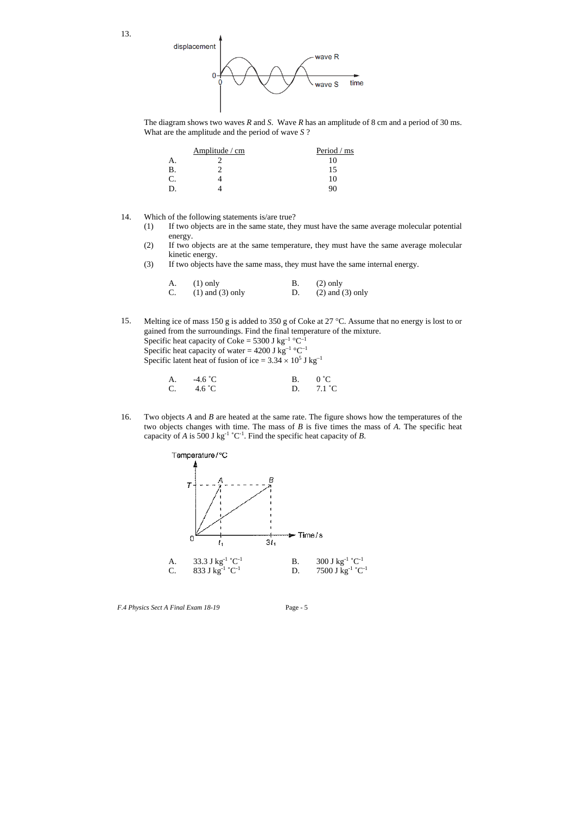13.



The diagram shows two waves *R* and *S*. Wave *R* has an amplitude of 8 cm and a period of 30 ms. What are the amplitude and the period of wave *S* ?

|    | Amplitude / cm | Period / ms |
|----|----------------|-------------|
| А. |                |             |
|    |                |             |
|    |                |             |
|    |                |             |

14. Which of the following statements is/are true?

- (1) If two objects are in the same state, they must have the same average molecular potential energy.
- (2) If two objects are at the same temperature, they must have the same average molecular kinetic energy.
- (3) If two objects have the same mass, they must have the same internal energy.

16. Two objects *A* and *B* are heated at the same rate. The figure shows how the temperatures of the two objects changes with time. The mass of *B* is five times the mass of *A*. The specific heat capacity of *A* is 500 J kg<sup>-1</sup> °C<sup>-1</sup>. Find the specific heat capacity of *B*.

| $(1)$ only              | $(2)$ only           |
|-------------------------|----------------------|
| C. $(1)$ and $(3)$ only | $(2)$ and $(3)$ only |

15. Melting ice of mass 150 g is added to 350 g of Coke at 27 °C. Assume that no energy is lost to or gained from the surroundings. Find the final temperature of the mixture. Specific heat capacity of Coke = 5300 J kg<sup>-1</sup> °C<sup>-1</sup> Specific heat capacity of water = 4200 J kg<sup>-1</sup> °C<sup>-1</sup> Specific latent heat of fusion of ice =  $3.34 \times 10^5$  J kg<sup>-1</sup>

| A. $-4.6 \degree C$ | B. $0^{\circ}C$    |
|---------------------|--------------------|
| C. $4.6\degree$ C   | D. $7.1 \degree C$ |

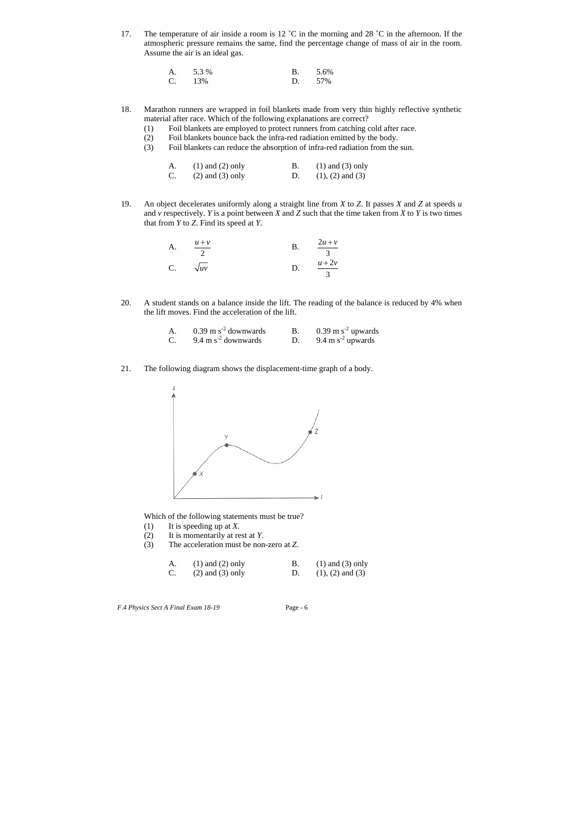17. The temperature of air inside a room is 12 °C in the morning and 28 °C in the afternoon. If the atmospheric pressure remains the same, find the percentage change of mass of air in the room. Assume the air is an ideal gas.

| A. $5.3\%$ | B. $5.6\%$ |
|------------|------------|
| $C. 13\%$  | D. 57%     |

- 18. Marathon runners are wrapped in foil blankets made from very thin highly reflective synthetic material after race. Which of the following explanations are correct?
	- (1) Foil blankets are employed to protect runners from catching cold after race.
	- (2) Foil blankets bounce back the infra-red radiation emitted by the body.
	- (3) Foil blankets can reduce the absorption of infra-red radiation from the sun.

| $(1)$ and $(2)$ only | $(1)$ and $(3)$ only |
|----------------------|----------------------|
| $(2)$ and $(3)$ only | $(1), (2)$ and $(3)$ |

19. An object decelerates uniformly along a straight line from *X* to *Z*. It passes *X* and *Z* at speeds *u* and *v* respectively. *Y* is a point between *X* and *Z* such that the time taken from *X* to *Y* is two times that from *Y* to *Z*. Find its speed at *Y*.

|    | $u + v$     | $2u + v$ |
|----|-------------|----------|
|    |             |          |
| C. | $\sqrt{uv}$ | $u + 2v$ |
|    |             |          |

20. A student stands on a balance inside the lift. The reading of the balance is reduced by 4% when the lift moves. Find the acceleration of the lift.

| $0.39$ m s <sup>-2</sup> downwards | $0.39$ m s <sup>-2</sup> upwards |
|------------------------------------|----------------------------------|
| $9.4 \text{ m s}^2$ downwards      | 9.4 m $s^2$ upwards              |

21. The following diagram shows the displacement-time graph of a body.



Which of the following statements must be true?

- (1) It is speeding up at *X*.
- (2) It is momentarily at rest at *Y*.
- (3) The acceleration must be non-zero at *Z*.

| $(1)$ and $(2)$ only | $(1)$ and $(3)$ only |
|----------------------|----------------------|
| $(2)$ and $(3)$ only | $(1), (2)$ and $(3)$ |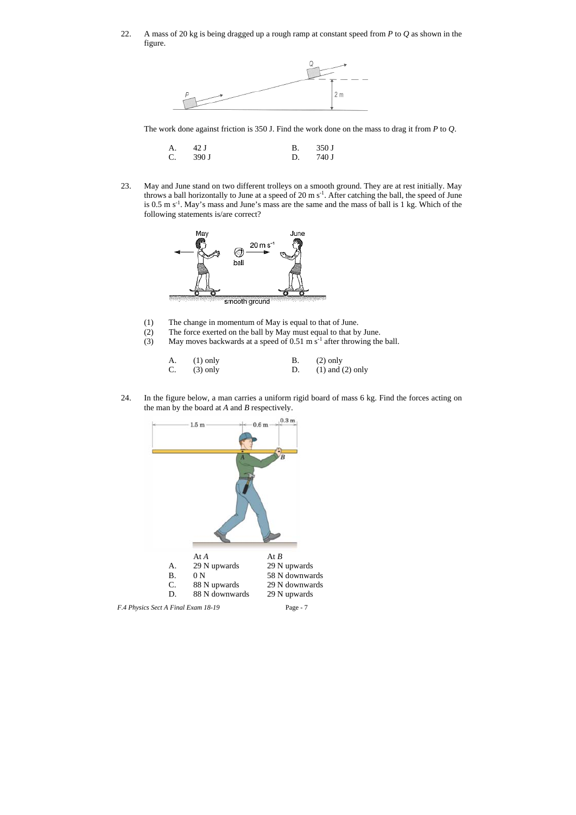22. A mass of 20 kg is being dragged up a rough ramp at constant speed from *P* to *Q* as shown in the figure.



The work done against friction is 350 J. Find the work done on the mass to drag it from *P* to *Q*.

| A. 42 J  | B. 350 J           |
|----------|--------------------|
| C. 390 J | D. $740 \text{ J}$ |

- (1) The change in momentum of May is equal to that of June.
- (2) The force exerted on the ball by May must equal to that by June.
- (3) May moves backwards at a speed of  $0.51 \text{ m s}^{-1}$  after throwing the ball.

23. May and June stand on two different trolleys on a smooth ground. They are at rest initially. May throws a ball horizontally to June at a speed of 20 m s-1. After catching the ball, the speed of June is 0.5 m s-1. May's mass and June's mass are the same and the mass of ball is 1 kg. Which of the following statements is/are correct?



| $(1)$ only    | $(2)$ only              |
|---------------|-------------------------|
| C. $(3)$ only | D. $(1)$ and $(2)$ only |

24. In the figure below, a man carries a uniform rigid board of mass 6 kg. Find the forces acting on the man by the board at *A* and *B* respectively.